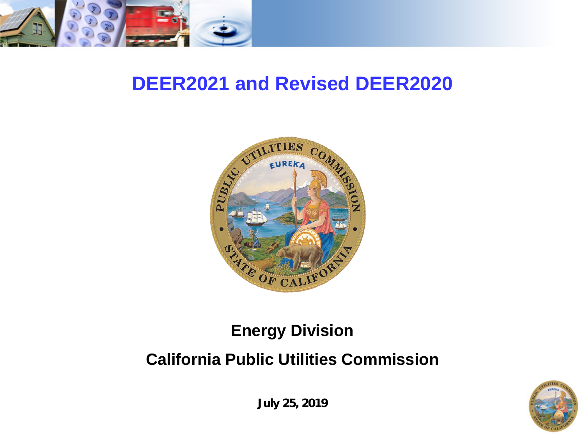

## **DEER2021 and Revised DEER2020**



#### **Energy Division**

#### **California Public Utilities Commission**



**July 25, 2019**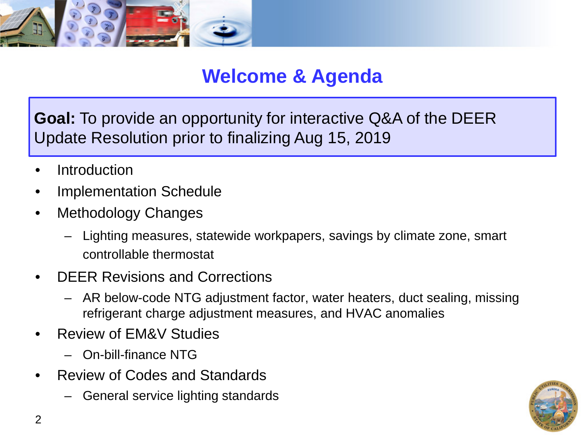

#### **Welcome & Agenda**

**Goal:** To provide an opportunity for interactive Q&A of the DEER Update Resolution prior to finalizing Aug 15, 2019

- **Introduction**
- Implementation Schedule
- Methodology Changes
	- Lighting measures, statewide workpapers, savings by climate zone, smart controllable thermostat
- DEER Revisions and Corrections
	- AR below-code NTG adjustment factor, water heaters, duct sealing, missing refrigerant charge adjustment measures, and HVAC anomalies
- Review of EM&V Studies
	- On-bill-finance NTG
- Review of Codes and Standards
	- General service lighting standards

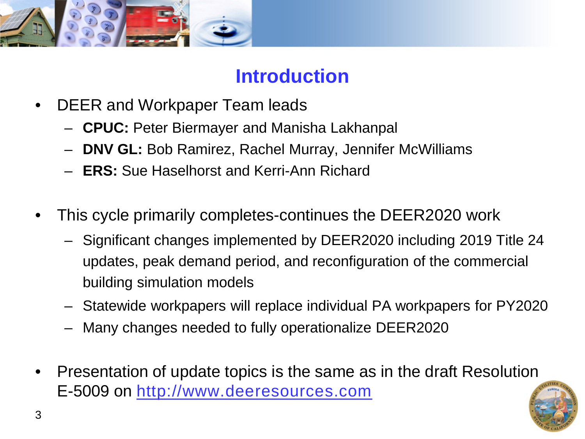

#### **Introduction**

- DEER and Workpaper Team leads
	- **CPUC:** Peter Biermayer and Manisha Lakhanpal
	- **DNV GL:** Bob Ramirez, Rachel Murray, Jennifer McWilliams
	- **ERS:** Sue Haselhorst and Kerri-Ann Richard
- This cycle primarily completes-continues the DEER2020 work
	- Significant changes implemented by DEER2020 including 2019 Title 24 updates, peak demand period, and reconfiguration of the commercial building simulation models
	- Statewide workpapers will replace individual PA workpapers for PY2020
	- Many changes needed to fully operationalize DEER2020
- Presentation of update topics is the same as in the draft Resolution E-5009 on [http://www.deeresources.com](http://www.deeresources.com/)

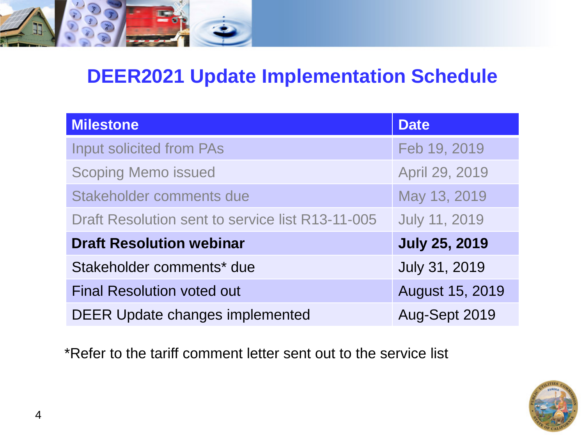

## **DEER2021 Update Implementation Schedule**

| <b>Milestone</b>                                 | <b>Date</b>          |
|--------------------------------------------------|----------------------|
| <b>Input solicited from PAs</b>                  | Feb 19, 2019         |
| <b>Scoping Memo issued</b>                       | April 29, 2019       |
| Stakeholder comments due                         | May 13, 2019         |
| Draft Resolution sent to service list R13-11-005 | <b>July 11, 2019</b> |
| <b>Draft Resolution webinar</b>                  | <b>July 25, 2019</b> |
| Stakeholder comments* due                        | July 31, 2019        |
| <b>Final Resolution voted out</b>                | August 15, 2019      |
| <b>DEER Update changes implemented</b>           | Aug-Sept 2019        |

\*Refer to the tariff comment letter sent out to the service list

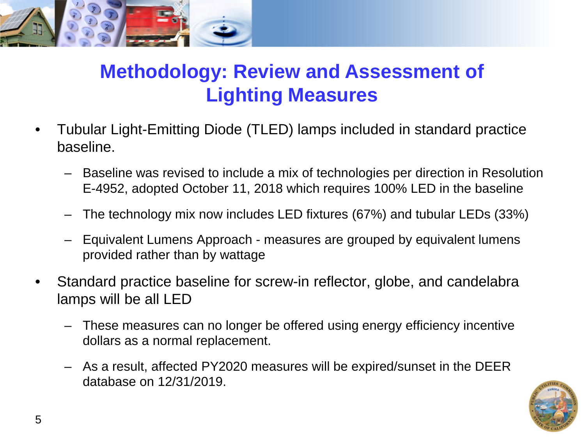

## **Methodology: Review and Assessment of Lighting Measures**

- Tubular Light-Emitting Diode (TLED) lamps included in standard practice baseline.
	- Baseline was revised to include a mix of technologies per direction in Resolution E-4952, adopted October 11, 2018 which requires 100% LED in the baseline
	- The technology mix now includes LED fixtures (67%) and tubular LEDs (33%)
	- Equivalent Lumens Approach measures are grouped by equivalent lumens provided rather than by wattage
- Standard practice baseline for screw-in reflector, globe, and candelabra lamps will be all LED
	- These measures can no longer be offered using energy efficiency incentive dollars as a normal replacement.
	- As a result, affected PY2020 measures will be expired/sunset in the DEER database on 12/31/2019.

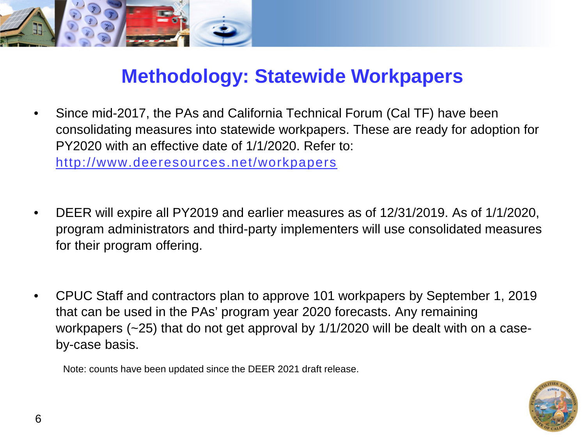

### **Methodology: Statewide Workpapers**

- Since mid-2017, the PAs and California Technical Forum (Cal TF) have been consolidating measures into statewide workpapers. These are ready for adoption for PY2020 with an effective date of 1/1/2020. Refer to: <http://www.deeresources.net/workpapers>
- DEER will expire all PY2019 and earlier measures as of 12/31/2019. As of 1/1/2020, program administrators and third-party implementers will use consolidated measures for their program offering.
- CPUC Staff and contractors plan to approve 101 workpapers by September 1, 2019 that can be used in the PAs' program year 2020 forecasts. Any remaining workpapers (~25) that do not get approval by 1/1/2020 will be dealt with on a caseby-case basis.

Note: counts have been updated since the DEER 2021 draft release.

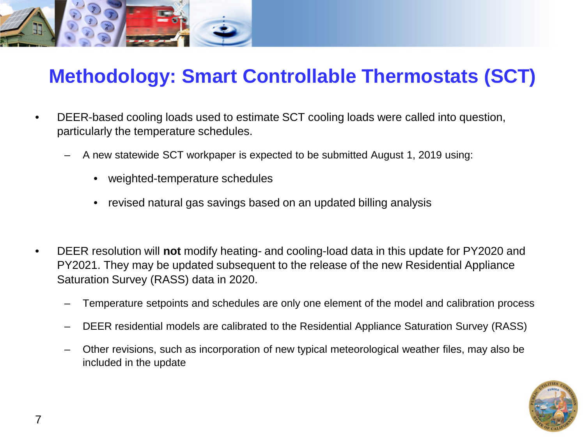

### **Methodology: Smart Controllable Thermostats (SCT)**

- DEER-based cooling loads used to estimate SCT cooling loads were called into question, particularly the temperature schedules.
	- A new statewide SCT workpaper is expected to be submitted August 1, 2019 using:
		- weighted-temperature schedules
		- revised natural gas savings based on an updated billing analysis
- DEER resolution will **not** modify heating- and cooling-load data in this update for PY2020 and PY2021. They may be updated subsequent to the release of the new Residential Appliance Saturation Survey (RASS) data in 2020.
	- Temperature setpoints and schedules are only one element of the model and calibration process
	- DEER residential models are calibrated to the Residential Appliance Saturation Survey (RASS)
	- Other revisions, such as incorporation of new typical meteorological weather files, may also be included in the update

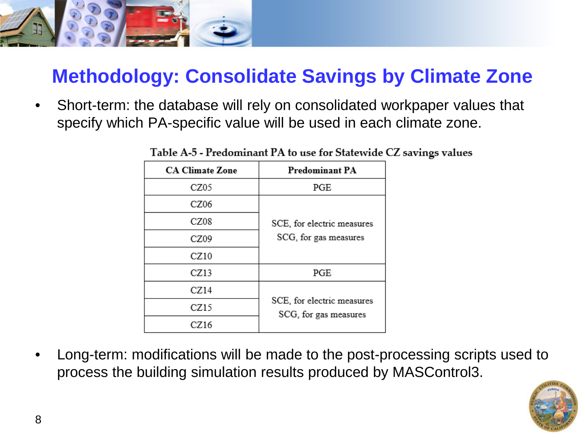

# **Methodology: Consolidate Savings by Climate Zone**

• Short-term: the database will rely on consolidated workpaper values that specify which PA-specific value will be used in each climate zone.

| <b>CA Climate Zone</b> | <b>Predominant PA</b>                               |
|------------------------|-----------------------------------------------------|
| CZ05                   | PGE                                                 |
| CZ06                   | SCE, for electric measures<br>SCG, for gas measures |
| CZ08                   |                                                     |
| CZ09                   |                                                     |
| CZ10                   |                                                     |
| CZ13                   | PGE                                                 |
| CZ14                   | SCE, for electric measures<br>SCG, for gas measures |
| CZ15                   |                                                     |
| CZ16                   |                                                     |

Table A-5 - Predominant PA to use for Statewide CZ savings values

• Long-term: modifications will be made to the post-processing scripts used to process the building simulation results produced by MASControl3.

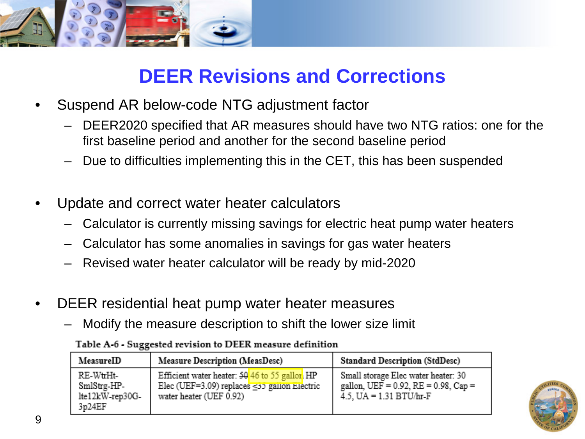

## **DEER Revisions and Corrections**

- Suspend AR below-code NTG adjustment factor
	- DEER2020 specified that AR measures should have two NTG ratios: one for the first baseline period and another for the second baseline period
	- Due to difficulties implementing this in the CET, this has been suspended
- Update and correct water heater calculators
	- Calculator is currently missing savings for electric heat pump water heaters
	- Calculator has some anomalies in savings for gas water heaters
	- Revised water heater calculator will be ready by mid-2020
- DEER residential heat pump water heater measures
	- Modify the measure description to shift the lower size limit

| MeasureID                                            | <b>Measure Description (MeasDesc)</b>                                                                                             | <b>Standard Description (StdDesc)</b>                                                                            |
|------------------------------------------------------|-----------------------------------------------------------------------------------------------------------------------------------|------------------------------------------------------------------------------------------------------------------|
| RE-WuHt-<br>SmlStrg-HP-<br>lte12kW-rep30G-<br>3p24EF | Efficient water heater: $50/46$ to 55 gallor. HP<br>Elec (UEF=3.09) replaces $\leq$ 35 gallon Electric<br>water heater (UEF 0.92) | Small storage Elec water heater: 30<br>gallon, UEF = $0.92$ , RE = $0.98$ , Cap =<br>4.5, $UA = 1.31 B T U/hr-F$ |

#### Table A-6 - Suggested revision to DEER measure definition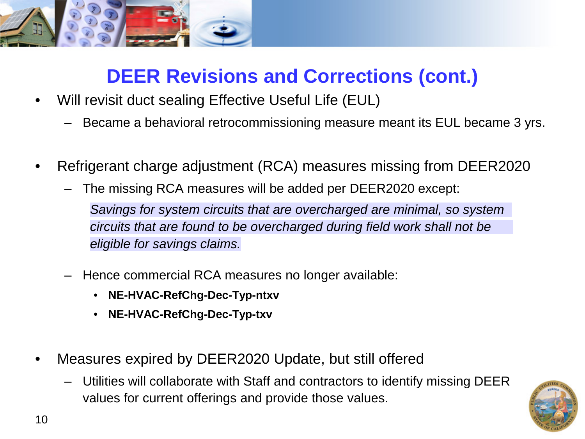

# **DEER Revisions and Corrections (cont.)**

- Will revisit duct sealing Effective Useful Life (EUL)
	- Became a behavioral retrocommissioning measure meant its EUL became 3 yrs.
- Refrigerant charge adjustment (RCA) measures missing from DEER2020
	- The missing RCA measures will be added per DEER2020 except: *Savings for system circuits that are overcharged are minimal, so system circuits that are found to be overcharged during field work shall not be eligible for savings claims.*
	- Hence commercial RCA measures no longer available:
		- **NE-HVAC-RefChg-Dec-Typ-ntxv**
		- **NE-HVAC-RefChg-Dec-Typ-txv**
- Measures expired by DEER2020 Update, but still offered
	- Utilities will collaborate with Staff and contractors to identify missing DEER values for current offerings and provide those values.

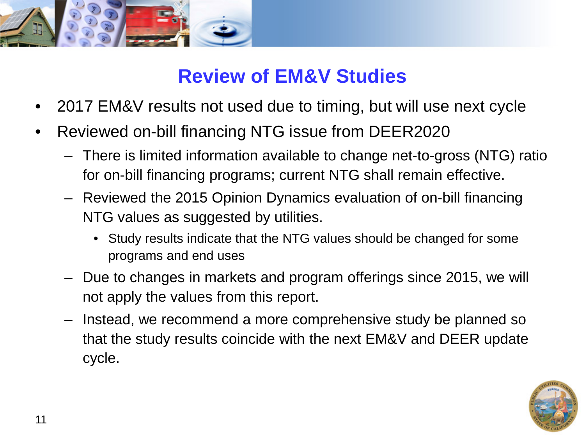

## **Review of EM&V Studies**

- 2017 EM&V results not used due to timing, but will use next cycle
- Reviewed on-bill financing NTG issue from DEER2020
	- There is limited information available to change net-to-gross (NTG) ratio for on-bill financing programs; current NTG shall remain effective.
	- Reviewed the 2015 Opinion Dynamics evaluation of on-bill financing NTG values as suggested by utilities.
		- Study results indicate that the NTG values should be changed for some programs and end uses
	- Due to changes in markets and program offerings since 2015, we will not apply the values from this report.
	- Instead, we recommend a more comprehensive study be planned so that the study results coincide with the next EM&V and DEER update cycle.

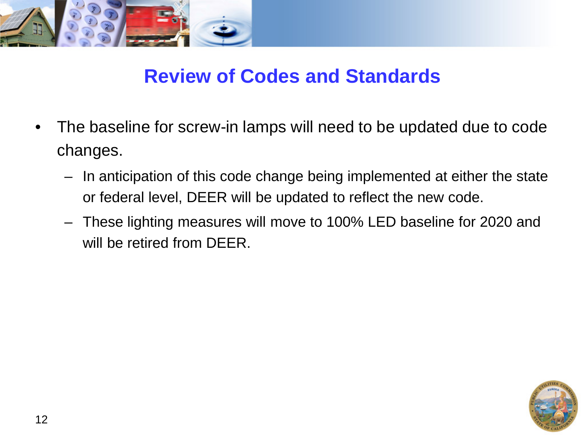

#### **Review of Codes and Standards**

- The baseline for screw-in lamps will need to be updated due to code changes.
	- In anticipation of this code change being implemented at either the state or federal level, DEER will be updated to reflect the new code.
	- These lighting measures will move to 100% LED baseline for 2020 and will be retired from DEER.